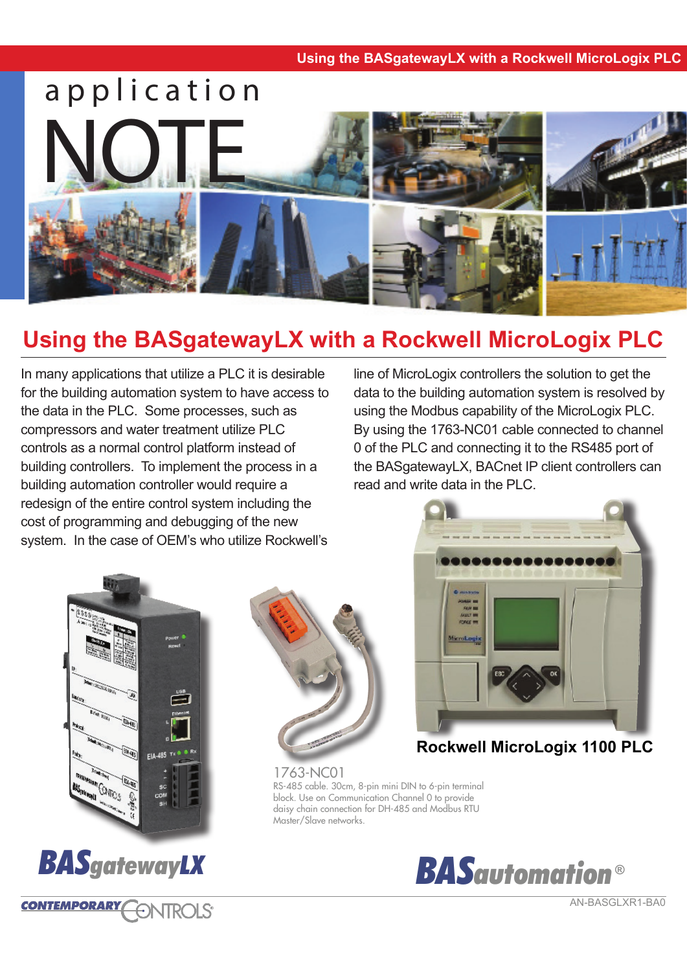

# **Using the BASgatewayLX with a Rockwell MicroLogix PLC**

In many applications that utilize a PLC it is desirable for the building automation system to have access to the data in the PLC. Some processes, such as compressors and water treatment utilize PLC controls as a normal control platform instead of building controllers. To implement the process in a building automation controller would require a redesign of the entire control system including the cost of programming and debugging of the new system. In the case of OEM's who utilize Rockwell's

line of MicroLogix controllers the solution to get the data to the building automation system is resolved by using the Modbus capability of the MicroLogix PLC. By using the 1763-NC01 cable connected to channel 0 of the PLC and connecting it to the RS485 port of the BASgatewayLX, BACnet IP client controllers can read and write data in the PLC.





**ONTROLS** 

**CONTEMPORARY** 





**Rockwell MicroLogix 1100 PLC**

1763-NC01 RS-485 cable. 30cm, 8-pin mini DIN to 6-pin terminal block. Use on Communication Channel 0 to provide daisy chain connection for DH-485 and Modbus RTU Master/Slave networks.



AN-BASGLXR1-BA0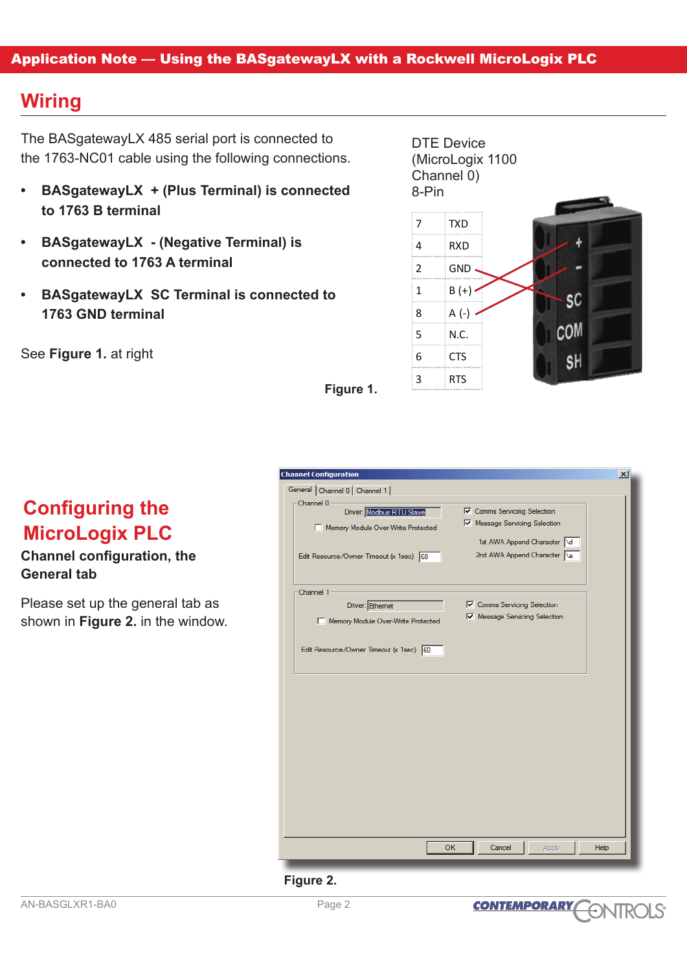### Application Note — Using the BASgatewayLX with a Rockwell MicroLogix PLC

### **Wiring**

The BASgatewayLX 485 serial port is connected to the 1763-NC01 cable using the following connections.

- **• BASgatewayLX + (Plus Terminal) is connected to 1763 B terminal**
- **• BASgatewayLX (Negative Terminal) is connected to 1763 A terminal**
- **• BASgatewayLX SC Terminal is connected to 1763 GND terminal**

See **Figure 1.** at right

**Configuring the** 

**MicroLogix PLC**

**General tab**

**Channel configuration, the** 

Please set up the general tab as shown in **Figure 2.** in the window. DTE Device (MicroLogix 1100 Channel 0) 8-Pin



**Figure 1.**

| <b>Channel Configuration</b><br>General Channel 0 Channel 1 |                                    |  |
|-------------------------------------------------------------|------------------------------------|--|
| Channel 0-                                                  |                                    |  |
| Driver: Modbus RTU Slave                                    | <b>▽</b> Comms Servicing Selection |  |
| Memory Module Over-Write Protected                          | Message Servicing Selection        |  |
|                                                             | 1st AWA Append Character \d        |  |
| Edit Resource/Owner Timeout (x 1sec) 60                     | 2nd AWA Append Character a         |  |
|                                                             |                                    |  |
|                                                             |                                    |  |
| Channel 1-                                                  | <b>Ⅳ</b> Comms Servicing Selection |  |
| Driver: Ethemet                                             | Message Servicing Selection        |  |
| Memory Module Over-Write Protected                          |                                    |  |
| Edit Resource/Owner Timeout (x 1sec) 60                     |                                    |  |
|                                                             |                                    |  |
|                                                             |                                    |  |
|                                                             |                                    |  |
|                                                             |                                    |  |
|                                                             |                                    |  |
|                                                             |                                    |  |
|                                                             |                                    |  |
|                                                             |                                    |  |
|                                                             |                                    |  |
|                                                             |                                    |  |
|                                                             |                                    |  |
|                                                             |                                    |  |
| <b>OK</b>                                                   | Cancel<br>Help<br>Apply            |  |

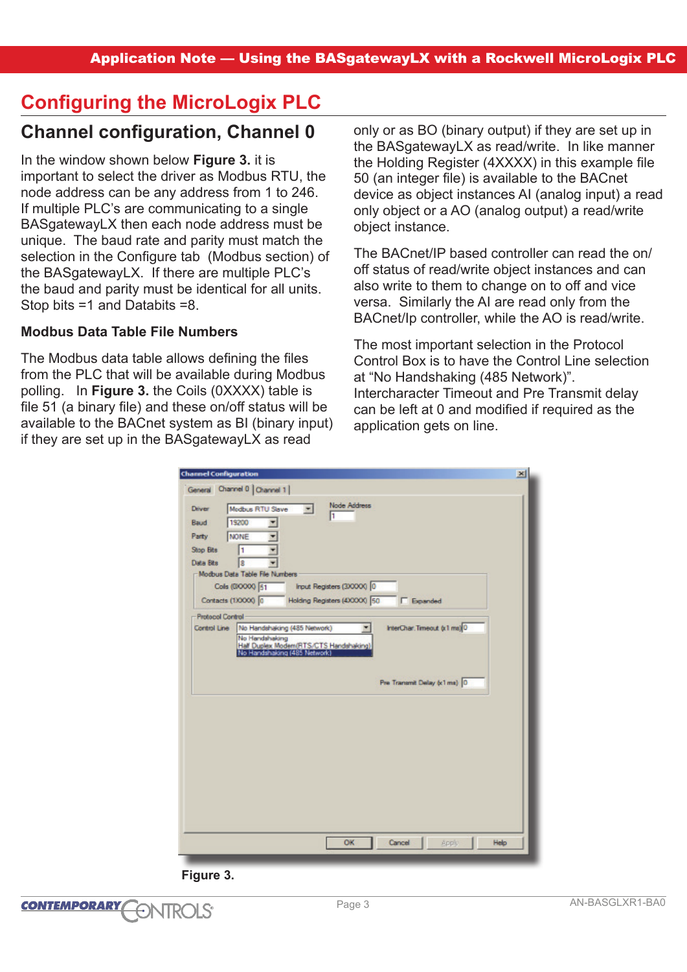# **Configuring the MicroLogix PLC**

### **Channel configuration, Channel 0**

### In the window shown below **Figure 3.** it is

important to select the driver as Modbus RTU, the node address can be any address from 1 to 246. If multiple PLC's are communicating to a single BASgatewayLX then each node address must be unique. The baud rate and parity must match the selection in the Configure tab (Modbus section) of the BASgatewayLX. If there are multiple PLC's the baud and parity must be identical for all units. Stop bits =1 and Databits =8.

### **Modbus Data Table File Numbers**

The Modbus data table allows defining the files from the PLC that will be available during Modbus polling. In **Figure 3.** the Coils (0XXXX) table is file 51 (a binary file) and these on/off status will be available to the BACnet system as BI (binary input) if they are set up in the BASgatewayLX as read

only or as BO (binary output) if they are set up in the BASgatewayLX as read/write. In like manner the Holding Register (4XXXX) in this example file 50 (an integer file) is available to the BACnet device as object instances AI (analog input) a read only object or a AO (analog output) a read/write object instance.

The BACnet/IP based controller can read the on/ off status of read/write object instances and can also write to them to change on to off and vice versa. Similarly the AI are read only from the BACnet/Ip controller, while the AO is read/write.

The most important selection in the Protocol Control Box is to have the Control Line selection at "No Handshaking (485 Network)". Intercharacter Timeout and Pre Transmit delay can be left at 0 and modified if required as the application gets on line.

| <b>Channel Configuration</b>                                                                  | $\vert x \vert$ |
|-----------------------------------------------------------------------------------------------|-----------------|
| General Channel 0 Channel 1                                                                   |                 |
| Node Address<br>Modbus RTU Slave<br>Driver                                                    |                 |
| 1<br>19200<br>Baud                                                                            |                 |
| NONE<br>Party                                                                                 |                 |
| Stop Bits<br>I1                                                                               |                 |
| Data Bits<br>lŝ                                                                               |                 |
| Modbus Data Table File Numbers                                                                |                 |
| Input Registers (3XXXX) 0<br>Cols (00000) 51                                                  |                 |
| Holding Registers (4XXXX) 50<br>Contacts (1XXXX) 0<br><b>F</b> Expanded                       |                 |
| <b>Protocol Control</b>                                                                       |                 |
| InterChar.Timeout (x1 ms) 0<br>Control Line<br>No Handshaking (485 Network)<br>$\blacksquare$ |                 |
| No Handshaking                                                                                |                 |
| Half Duplex Modem(RTS/CTS Handshaking)<br>No Handshaking (485 Network)                        |                 |
| Pre Transmit Delay (x1 ms) 0                                                                  |                 |
|                                                                                               |                 |
|                                                                                               |                 |
|                                                                                               |                 |
|                                                                                               |                 |
|                                                                                               |                 |
|                                                                                               |                 |
|                                                                                               |                 |
|                                                                                               |                 |
|                                                                                               |                 |
|                                                                                               |                 |
|                                                                                               |                 |
| OK                                                                                            |                 |
| Cancel                                                                                        | Help<br>Apply   |

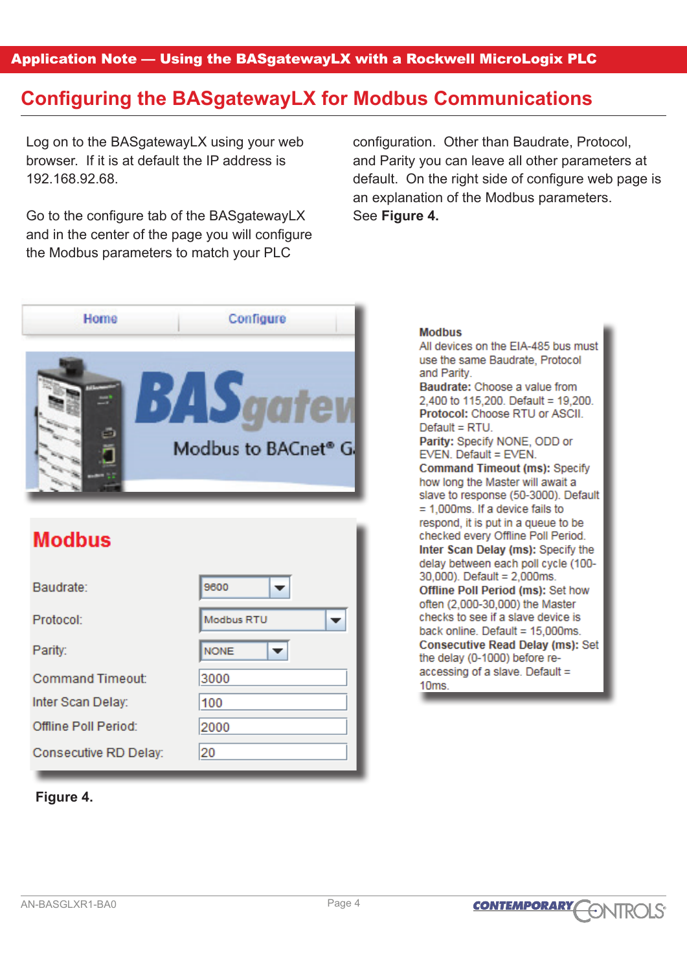Application Note — Using the BASgatewayLX with a Rockwell MicroLogix PLC

## **Configuring the BASgatewayLX for Modbus Communications**

Log on to the BASgatewayLX using your web browser. If it is at default the IP address is 192.168.92.68.

Go to the configure tab of the BASgatewayLX and in the center of the page you will configure the Modbus parameters to match your PLC

configuration. Other than Baudrate, Protocol, and Parity you can leave all other parameters at default. On the right side of configure web page is an explanation of the Modbus parameters. See **Figure 4.**

**Modhus** 



# **Modbus**

| Baudrate:               | 9600        |
|-------------------------|-------------|
| Protocol:               | Modbus RTU  |
| Parity:                 | <b>NONE</b> |
| <b>Command Timeout:</b> | 3000        |
| Inter Scan Delay:       | 100         |
| Offline Poll Period:    | 2000        |
| Consecutive RD Delay:   | 20          |

### **Figure 4.**

All devices on the EIA-485 bus must use the same Baudrate. Protocol and Parity. Baudrate: Choose a value from 2.400 to 115.200. Default = 19.200. Protocol: Choose RTU or ASCII.  $Default = RTU$ Parity: Specify NONE, ODD or EVEN. Default = EVEN. **Command Timeout (ms): Specify** how long the Master will await a slave to response (50-3000). Default  $= 1.000$ ms. If a device fails to respond, it is put in a queue to be checked every Offline Poll Period. Inter Scan Delay (ms): Specify the delay between each poll cycle (100-30.000). Default = 2.000ms. Offline Poll Period (ms): Set how often (2,000-30,000) the Master checks to see if a slave device is back online. Default = 15,000ms. **Consecutive Read Delay (ms): Set** the delay (0-1000) before reaccessing of a slave. Default = 10ms.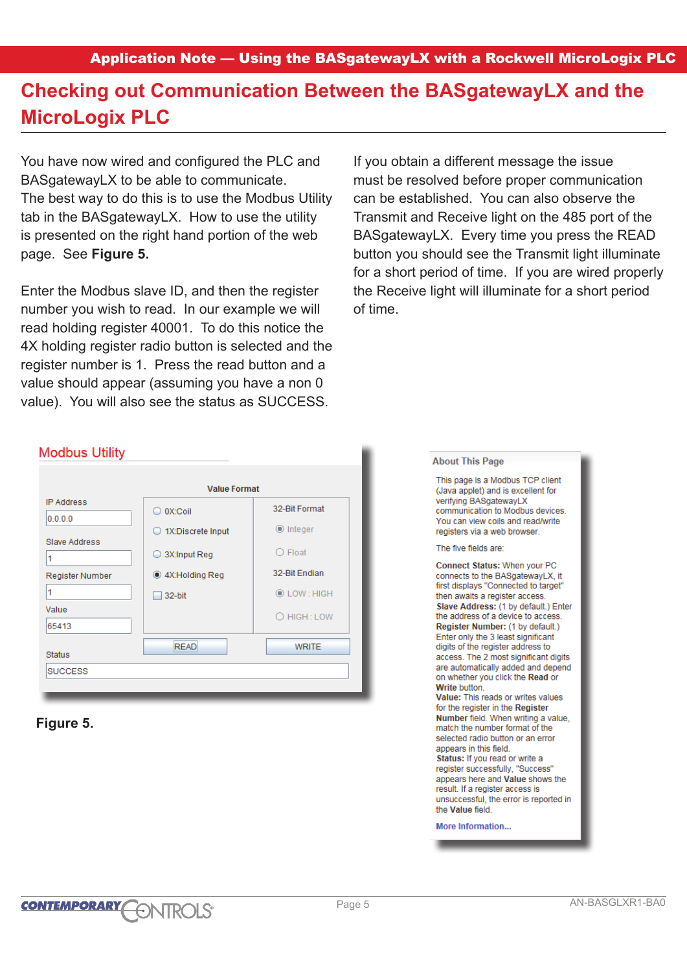## **Checking out Communication Between the BASgatewayLX and the MicroLogix PLC**

You have now wired and configured the PLC and BASgatewayLX to be able to communicate. The best way to do this is to use the Modbus Utility tab in the BASgatewayLX. How to use the utility is presented on the right hand portion of the web page. See **Figure 5.**

Enter the Modbus slave ID, and then the register number you wish to read. In our example we will read holding register 40001. To do this notice the 4X holding register radio button is selected and the register number is 1. Press the read button and a value should appear (assuming you have a non 0 value). You will also see the status as SUCCESS.

If you obtain a different message the issue must be resolved before proper communication can be established. You can also observe the Transmit and Receive light on the 485 port of the BASgatewayLX. Every time you press the READ button you should see the Transmit light illuminate for a short period of time. If you are wired properly the Receive light will illuminate for a short period of time.

#### **Modbus Utility**

| <b>Value Format</b> |                   |  |  |
|---------------------|-------------------|--|--|
| O OX:Coil           | 32-Bit Format     |  |  |
| ○ 1X:Discrete Input | <b>●</b> Integer  |  |  |
| ◯ 3X:Input Reg      | $\bigcirc$ Float  |  |  |
| 4X:Holding Reg      | 32-Bit Endian     |  |  |
| 32-bit              | <b>OLOW: HIGH</b> |  |  |
|                     | O HIGH: LOW       |  |  |
| <b>READ</b>         | <b>WRITE</b>      |  |  |
|                     |                   |  |  |

#### **Figure 5.**

#### This page is a Modbus TCP client (Java applet) and is excellent for verifying BASgatewayLX communication to Modbus devices. You can view coils and read/write registers via a web browser. The five fields are: Connect Status: When your PC connects to the BASgatewayLX, it first displays "Connected to target" then awaits a register access. Slave Address: (1 by default.) Enter the address of a device to access. Register Number: (1 by default.) Enter only the 3 least significant digits of the register address to access. The 2 most significant digits are automatically added and depend on whether you click the Read or Write button. Value: This reads or writes values for the register in the Register Number field. When writing a value. match the number format of the selected radio button or an error appears in this field. Status: If you read or write a register successfully. "Success" appears here and Value shows the result. If a register access is unsuccessful, the error is reported in the Value field. More Information...

**About This Page**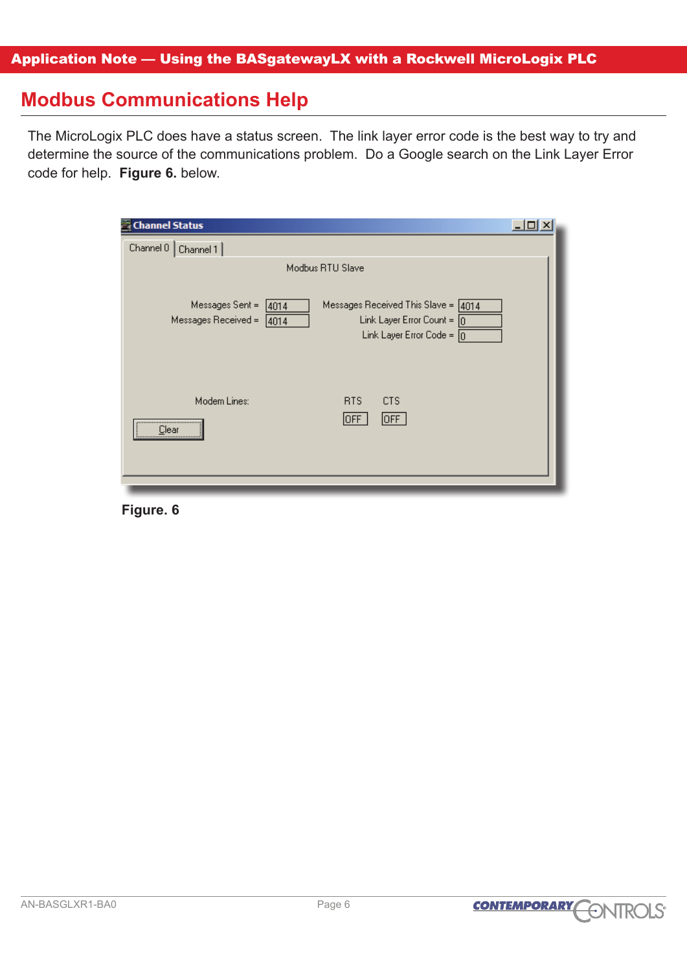## **Modbus Communications Help**

The MicroLogix PLC does have a status screen. The link layer error code is the best way to try and determine the source of the communications problem. Do a Google search on the Link Layer Error code for help. **Figure 6.** below.

| Channel Status                                                                                                                                                                        |  |
|---------------------------------------------------------------------------------------------------------------------------------------------------------------------------------------|--|
| Channel 0<br>Channel 1                                                                                                                                                                |  |
| Modbus RTU Slave                                                                                                                                                                      |  |
| Messages Sent =<br>Messages Received This Slave = $\sqrt{4014}$<br>4014<br>Messages Received =<br>Link Layer Error Count = $\boxed{0}$<br>4014<br>Link Layer Error Code = $\boxed{0}$ |  |
| Modem Lines:<br>RTS<br><b>CTS</b><br>OFF<br>OFF<br><br>Clear                                                                                                                          |  |

**Figure. 6**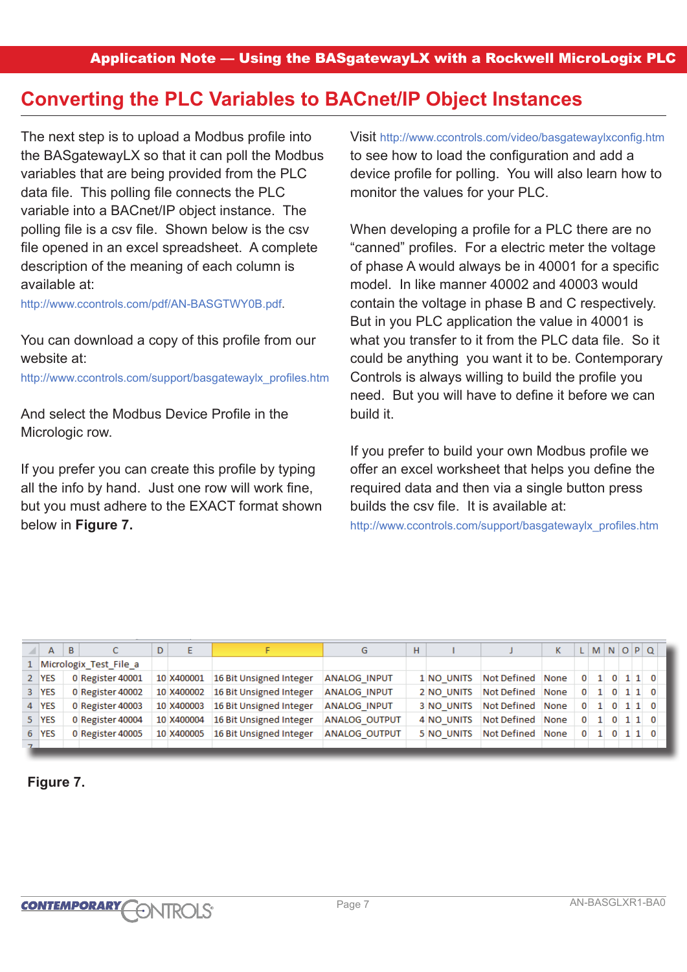## **Converting the PLC Variables to BACnet/IP Object Instances**

The next step is to upload a Modbus profile into the BASgatewayLX so that it can poll the Modbus variables that are being provided from the PLC data file. This polling file connects the PLC variable into a BACnet/IP object instance. The polling file is a csv file. Shown below is the csv file opened in an excel spreadsheet. A complete description of the meaning of each column is available at:

http://www.ccontrols.com/pdf/AN-BASGTWY0B.pdf.

You can download a copy of this profile from our website at:

http://www.ccontrols.com/support/basgatewaylx\_profiles.htm

And select the Modbus Device Profile in the Micrologic row.

If you prefer you can create this profile by typing all the info by hand. Just one row will work fine, but you must adhere to the EXACT format shown below in **Figure 7.**

Visit http://www.ccontrols.com/video/basgatewaylxconfig.htm to see how to load the configuration and add a device profile for polling. You will also learn how to monitor the values for your PLC.

When developing a profile for a PLC there are no "canned" profiles. For a electric meter the voltage of phase A would always be in 40001 for a specific model. In like manner 40002 and 40003 would contain the voltage in phase B and C respectively. But in you PLC application the value in 40001 is what you transfer to it from the PLC data file. So it could be anything you want it to be. Contemporary Controls is always willing to build the profile you need. But you will have to define it before we can build it.

If you prefer to build your own Modbus profile we offer an excel worksheet that helps you define the required data and then via a single button press builds the csv file. It is available at:

http://www.ccontrols.com/support/basgatewaylx\_profiles.htm

| А     | B | C                        | D | F          |                         | G                    | H |            |                  |              |  | LMNOPQ              |  |
|-------|---|--------------------------|---|------------|-------------------------|----------------------|---|------------|------------------|--------------|--|---------------------|--|
|       |   | 1 Micrologix Test File a |   |            |                         |                      |   |            |                  |              |  |                     |  |
| 2 YES |   | 0 Register 40001         |   | 10 X400001 | 16 Bit Unsigned Integer | <b>ANALOG INPUT</b>  |   | 1 NO UNITS | Not Defined None |              |  | $0 \t1 \t0 \t1 \t0$ |  |
| 3 YES |   | 0 Register 40002         |   | 10 X400002 | 16 Bit Unsigned Integer | <b>ANALOG INPUT</b>  |   | 2 NO UNITS | Not Defined None |              |  | $0$ 1 0 1 1 0       |  |
| 4 YES |   | 0 Register 40003         |   | 10 X400003 | 16 Bit Unsigned Integer | <b>ANALOG INPUT</b>  |   | 3 NO UNITS | Not Defined None |              |  | $0 \t1 \t0 \t1 \t0$ |  |
| 5 YES |   | 0 Register 40004         |   | 10 X400004 | 16 Bit Unsigned Integer | <b>ANALOG OUTPUT</b> |   | 4 NO UNITS | Not Defined None | $\mathbf{0}$ |  | 1 0 1 1 0           |  |
| 6 YES |   | 0 Register 40005         |   | 10 X400005 | 16 Bit Unsigned Integer | <b>ANALOG OUTPUT</b> |   | 5 NO UNITS | Not Defined None |              |  | $0 \t1 \t0 \t1 \t0$ |  |
|       |   |                          |   |            |                         |                      |   |            |                  |              |  |                     |  |

**Figure 7.**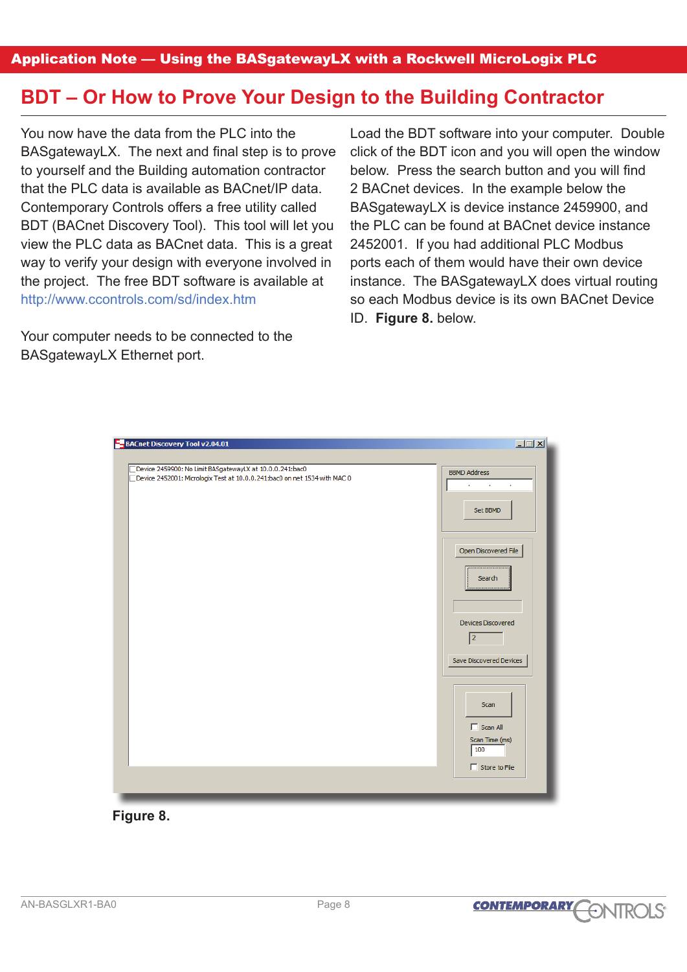Application Note — Using the BASgatewayLX with a Rockwell MicroLogix PLC

## **BDT – Or How to Prove Your Design to the Building Contractor**

You now have the data from the PLC into the BASgatewayLX. The next and final step is to prove to yourself and the Building automation contractor that the PLC data is available as BACnet/IP data. Contemporary Controls offers a free utility called BDT (BACnet Discovery Tool). This tool will let you view the PLC data as BACnet data. This is a great way to verify your design with everyone involved in the project. The free BDT software is available at http://www.ccontrols.com/sd/index.htm

Your computer needs to be connected to the BASgatewayLX Ethernet port.

Load the BDT software into your computer. Double click of the BDT icon and you will open the window below. Press the search button and you will find 2 BACnet devices. In the example below the BASgatewayLX is device instance 2459900, and the PLC can be found at BACnet device instance 2452001. If you had additional PLC Modbus ports each of them would have their own device instance. The BASgatewayLX does virtual routing so each Modbus device is its own BACnet Device ID. **Figure 8.** below.



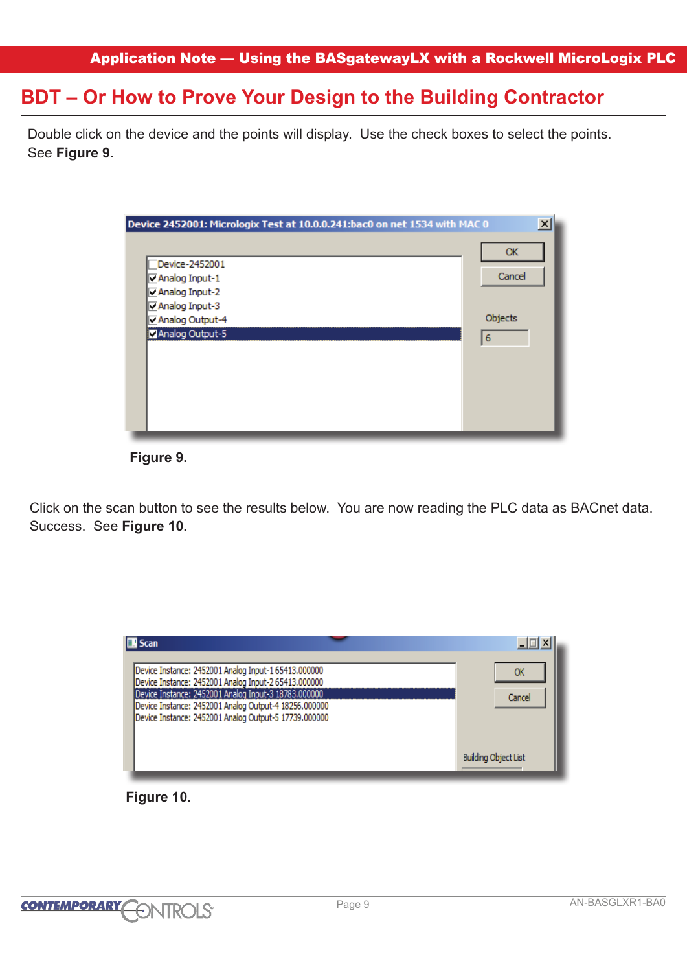## **BDT – Or How to Prove Your Design to the Building Contractor**

Double click on the device and the points will display. Use the check boxes to select the points. See **Figure 9.** 

| Device 2452001: Micrologix Test at 10.0.0.241:bac0 on net 1534 with MAC 0 | $\boldsymbol{\mathsf{x}}$ |
|---------------------------------------------------------------------------|---------------------------|
|                                                                           | OK                        |
| Device-2452001                                                            |                           |
| $\nabla$ Analog Input-1                                                   | Cancel                    |
| Analog Input-2                                                            |                           |
| <b>E</b> Analog Input-3                                                   |                           |
| Analog Output-4                                                           | Objects                   |
| Analog Output-5                                                           | 6                         |
|                                                                           |                           |
|                                                                           |                           |
|                                                                           |                           |
|                                                                           |                           |
|                                                                           |                           |
|                                                                           |                           |
|                                                                           |                           |

 **Figure 9.**

Click on the scan button to see the results below. You are now reading the PLC data as BACnet data. Success. See **Figure 10.**



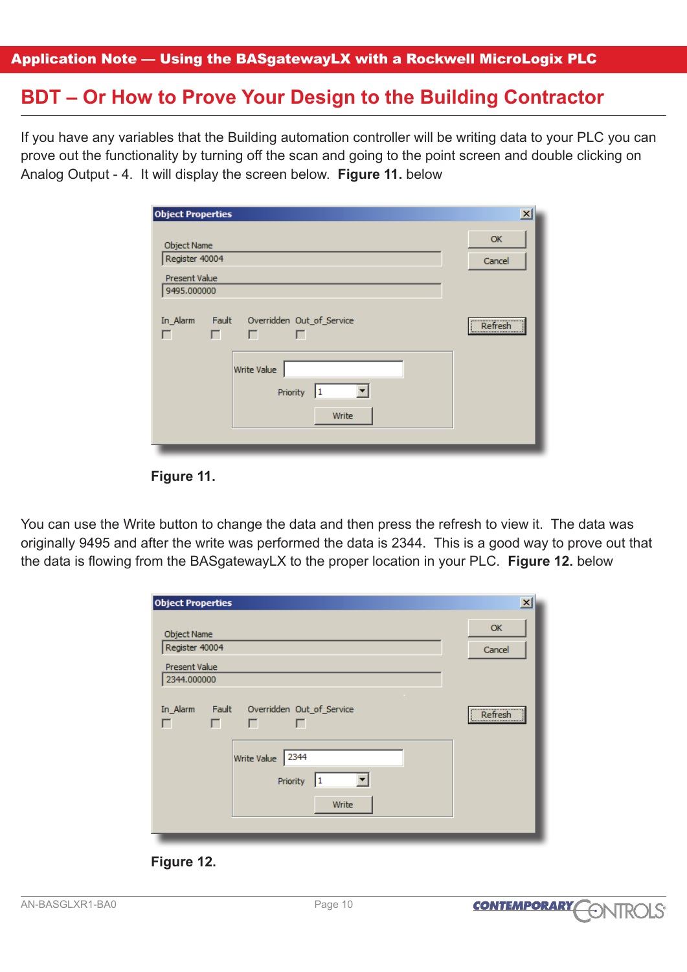## **BDT – Or How to Prove Your Design to the Building Contractor**

If you have any variables that the Building automation controller will be writing data to your PLC you can prove out the functionality by turning off the scan and going to the point screen and double clicking on Analog Output - 4. It will display the screen below. **Figure 11.** below

| <b>Object Properties</b>             |                                                                                         | $\vert x \vert$     |
|--------------------------------------|-----------------------------------------------------------------------------------------|---------------------|
| <b>Object Name</b><br>Register 40004 |                                                                                         | <b>OK</b><br>Cancel |
| Present Value<br>9495.000000         |                                                                                         |                     |
| In_Alarm<br>г                        | Fault Overridden Out_of_Service<br>$\Box$<br>Write Value<br>٠<br>Priority<br>1<br>Write | Refresh<br>         |



You can use the Write button to change the data and then press the refresh to view it. The data was originally 9495 and after the write was performed the data is 2344. This is a good way to prove out that the data is flowing from the BASgatewayLX to the proper location in your PLC. **Figure 12.** below

| <b>Object Properties</b>                                                    | $\vert x \vert$     |
|-----------------------------------------------------------------------------|---------------------|
| <b>Object Name</b><br>Register 40004<br><b>Present Value</b><br>2344.000000 | <b>OK</b><br>Cancel |
| Fault<br>Overridden Out_of_Service<br>In_Alarm<br>г<br>г<br>г               | Refresh<br>         |
| 2344<br>Write Value<br>I1<br>Priority<br>Write                              |                     |
|                                                                             |                     |